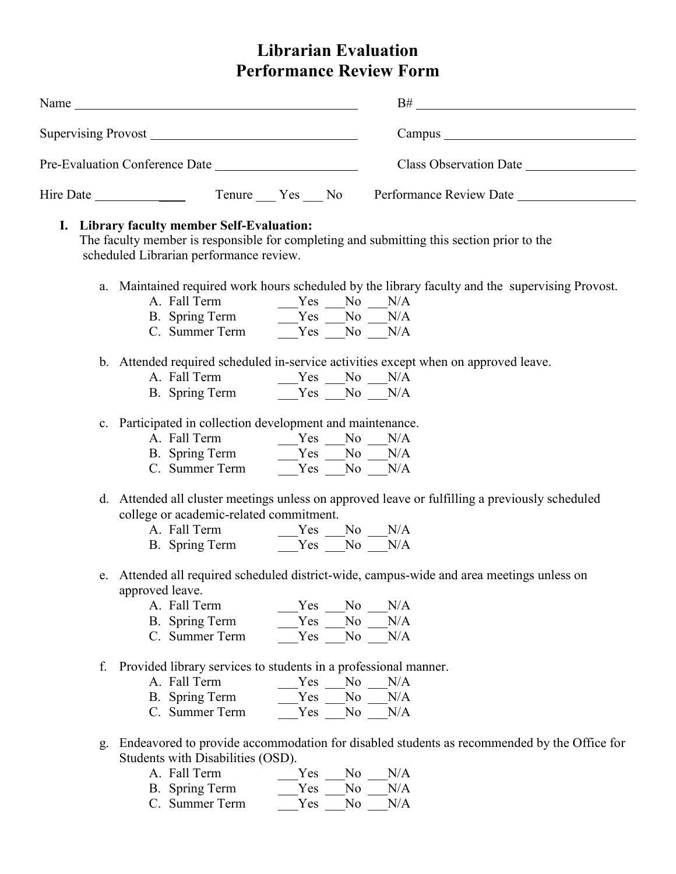# **Librarian Evaluation Performance Review Form**

| Name                           | B#<br><u> 1980 - John Stein, Amerikaansk politiker (</u> |
|--------------------------------|----------------------------------------------------------|
|                                |                                                          |
| Pre-Evaluation Conference Date | Class Observation Date                                   |
| Hire Date                      | Tenure Yes No Performance Review Date                    |

## **I. Library faculty member Self-Evaluation:**

The faculty member is responsible for completing and submitting this section prior to the scheduled Librarian performance review.

- a. Maintained required work hours scheduled by the library faculty and the supervising Provost.
	- A. Fall Term  $Yes$  No N/A B. Spring Term \_\_\_\_Yes \_\_\_No \_\_\_N/A
	- C. Summer Term  $Yes$   $N_0$   $N/A$
- b. Attended required scheduled in-service activities except when on approved leave.
	- A. Fall Term  $Yes$   $No$   $N/A$ B. Spring Term  $Yes$  No N/A
- c. Participated in collection development and maintenance.
	- A. Fall Term \_\_\_\_\_Yes \_\_\_No \_\_\_N/A
	- B. Spring Term \_\_\_\_Yes \_\_\_No \_\_\_N/A C. Summer Term  $Y_{\text{res}}$   $\overline{N_0}$   $\overline{N/A}$
	-
- d. Attended all cluster meetings unless on approved leave or fulfilling a previously scheduled college or academic-related commitment.
	- A. Fall Term  $Yes$  No N/A B. Spring Term  $Yes$  No N/A
- e. Attended all required scheduled district-wide, campus-wide and area meetings unless on approved leave.
	- A. Fall Term  $Yes$  No N/A B. Spring Term \_\_\_\_\_Yes \_\_\_No \_\_\_N/A C. Summer Term  $Yes$  No N/A
- f. Provided library services to students in a professional manner.
	- A. Fall Term  $Yes$  No N/A B. Spring Term  $Yes$  No N/A C. Summer Term  $Yes$   $\overline{N}$ No  $\overline{N}/A$
- g. Endeavored to provide accommodation for disabled students as recommended by the Office for Students with Disabilities (OSD).
	- A. Fall Term  $Yes$  No N/A B. Spring Term \_\_\_\_Yes \_\_\_No \_\_\_N/A
	- C. Summer Term  $Y_{\text{res}}$   $\overline{N_0}$   $\overline{N/A}$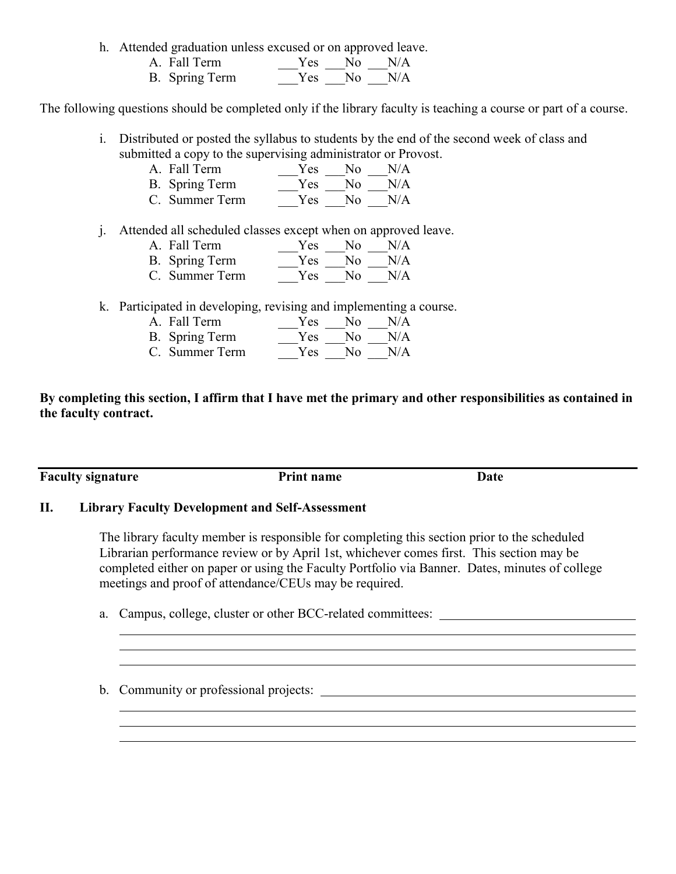h. Attended graduation unless excused or on approved leave.

| A. Fall Term   |  | $Yes$ No N/A |
|----------------|--|--------------|
| B. Spring Term |  | $Yes$ No N/A |

The following questions should be completed only if the library faculty is teaching a course or part of a course.

i. Distributed or posted the syllabus to students by the end of the second week of class and submitted a copy to the supervising administrator or Provost.

| A. Fall Term   | Yes | No.  | N/A |
|----------------|-----|------|-----|
| B. Spring Term | Yes | No.  | N/A |
| C. Summer Term | Yes | - No | N/A |

j. Attended all scheduled classes except when on approved leave.

| A. Fall Term   | Yes - | N <sub>0</sub> | N/A |
|----------------|-------|----------------|-----|
| B. Spring Term | Yes - | No.            | N/A |
| C. Summer Term | Yes.  | N٥             | N/A |

- 
- k. Participated in developing, revising and implementing a course.  $Yes$  No  $N/A$ B. Spring Term  $\frac{1}{\sqrt{2}}Y$ es  $\frac{1}{\sqrt{2}}N/A$ 
	- C. Summer Term  $\frac{1}{\sqrt{2\pi}}$  Yes  $\frac{1}{\sqrt{2\pi}}$  N/A

**By completing this section, I affirm that I have met the primary and other responsibilities as contained in the faculty contract.**

**Faculty signature Print name Date** 

#### **II. Library Faculty Development and Self-Assessment**

The library faculty member is responsible for completing this section prior to the scheduled Librarian performance review or by April 1st, whichever comes first. This section may be completed either on paper or using the Faculty Portfolio via Banner. Dates, minutes of college meetings and proof of attendance/CEUs may be required.

a. Campus, college, cluster or other BCC-related committees:

b. Community or professional projects: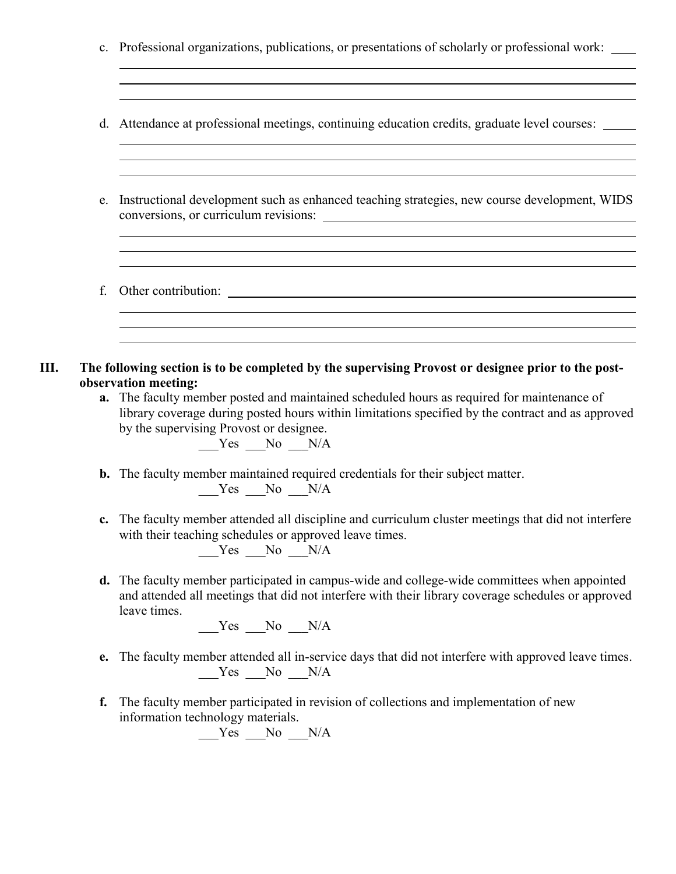|    | c. Professional organizations, publications, or presentations of scholarly or professional work:<br>,我们也不会有什么。""我们的人,我们也不会有什么?""我们的人,我们也不会有什么?""我们的人,我们也不会有什么?""我们的人,我们也不会有什么?""我们的人                                                                                                                                                                                                                                                                                                 |
|----|--------------------------------------------------------------------------------------------------------------------------------------------------------------------------------------------------------------------------------------------------------------------------------------------------------------------------------------------------------------------------------------------------------------------------------------------------------------------------------------|
|    | ,我们也不会有什么。""我们的人,我们也不会有什么?""我们的人,我们也不会有什么?""我们的人,我们也不会有什么?""我们的人,我们也不会有什么?""我们的人<br>d. Attendance at professional meetings, continuing education credits, graduate level courses: _____<br>,我们也不会有什么。""我们的人,我们也不会有什么?""我们的人,我们也不会有什么?""我们的人,我们也不会有什么?""我们的人,我们也不会有什么?""我们的人                                                                                                                                                                                                          |
| e. | Instructional development such as enhanced teaching strategies, new course development, WIDS                                                                                                                                                                                                                                                                                                                                                                                         |
| f. | ,我们也不会有一个人的人,我们也不会有一个人的人,我们也不会有一个人的人,我们也不会有一个人的人。""我们的人,我们也不会有一个人的人,我们也不会有一个人的人,                                                                                                                                                                                                                                                                                                                                                                                                     |
|    | The following section is to be completed by the supervising Provost or designee prior to the post-<br>observation meeting:<br>a. The faculty member posted and maintained scheduled hours as required for maintenance of<br>library coverage during posted hours within limitations specified by the contract and as approved<br>by the supervising Provost or designee.<br>$Yes$ No $N/A$<br><b>b.</b> The faculty member maintained required credentials for their subject matter. |
|    | $Yes$ No $N/A$<br>c. The faculty member attended all discipline and curriculum cluster meetings that did not interfere<br>with their teaching schedules or approved leave times.                                                                                                                                                                                                                                                                                                     |
|    | $Yes$ No $N/A$<br>d. The faculty member participated in campus-wide and college-wide committees when appointed<br>and attended all meetings that did not interfere with their library coverage schedules or approved                                                                                                                                                                                                                                                                 |
| e. | leave times.<br>$Yes$ No $N/A$                                                                                                                                                                                                                                                                                                                                                                                                                                                       |
|    | The faculty member attended all in-service days that did not interfere with approved leave times.<br>$Yes$ No $N/A$                                                                                                                                                                                                                                                                                                                                                                  |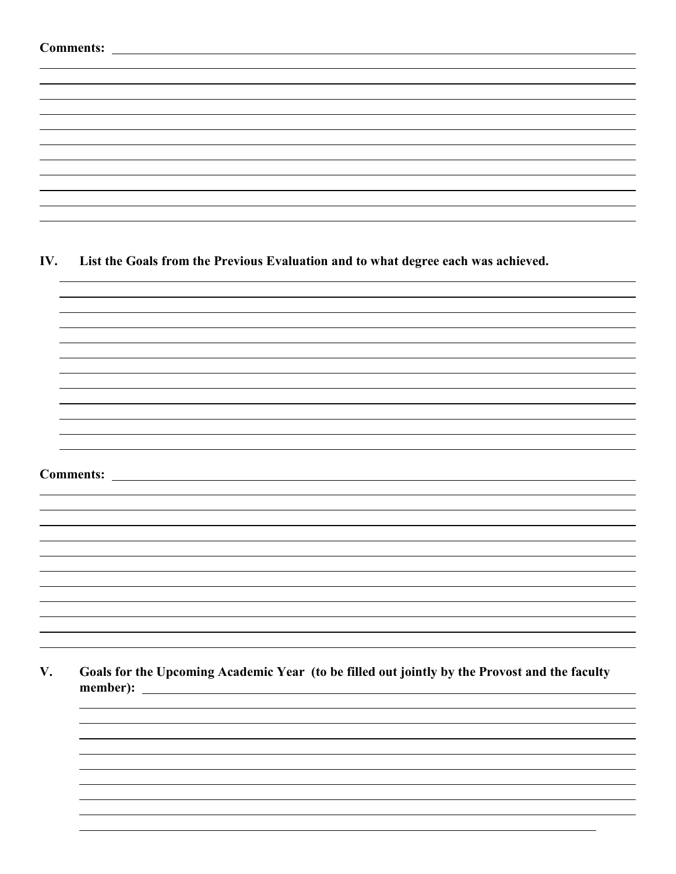| <b>Comments:</b> |  |
|------------------|--|
|------------------|--|

**IV. List the Goals from the Previous Evaluation and to what degree each was achieved.**

**Comments:** 

**V. Goals for the Upcoming Academic Year (to be filled out jointly by the Provost and the faculty member):**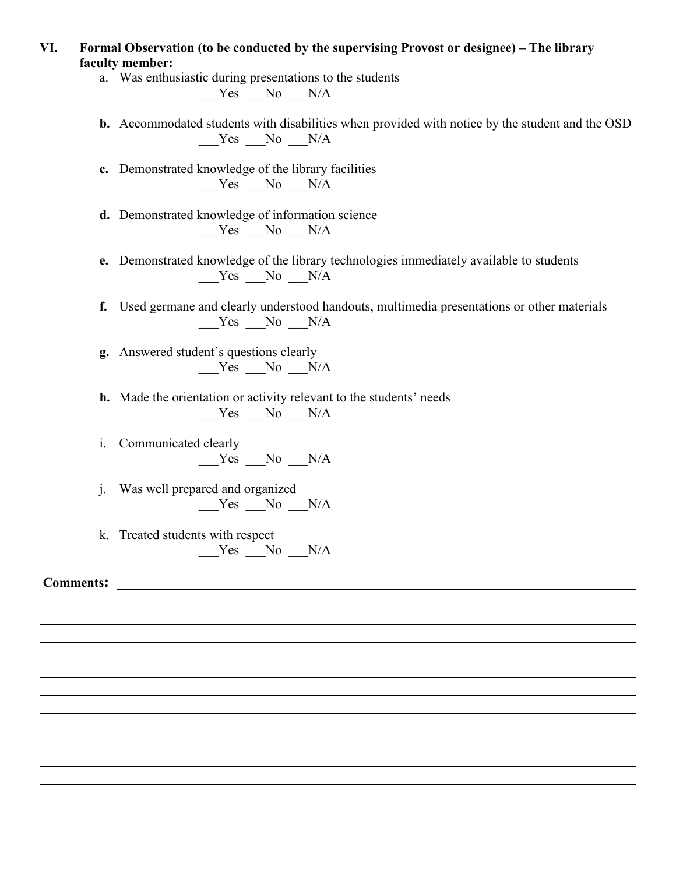- **VI. Formal Observation (to be conducted by the supervising Provost or designee) – The library faculty member:**
	- a. Was enthusiastic during presentations to the students  $Yes$  No  $N/A$

**b.** Accommodated students with disabilities when provided with notice by the student and the OSD  $Yes$  No  $N/A$ 

- **c.** Demonstrated knowledge of the library facilities  $Yes$  No  $N/A$
- **d.** Demonstrated knowledge of information science  $Yes$  No  $N/A$
- **e.** Demonstrated knowledge of the library technologies immediately available to students  $Yes$  No  $N/A$
- **f.** Used germane and clearly understood handouts, multimedia presentations or other materials  $Yes$  No  $N/A$
- **g.** Answered student's questions clearly  $Yes$  No  $N/A$
- **h.** Made the orientation or activity relevant to the students' needs  $Yes$  No  $N/A$
- i. Communicated clearly Yes No N/A
- j. Was well prepared and organized Yes No N/A
- k. Treated students with respect  $Yes$  No  $N/A$

**Comments:**